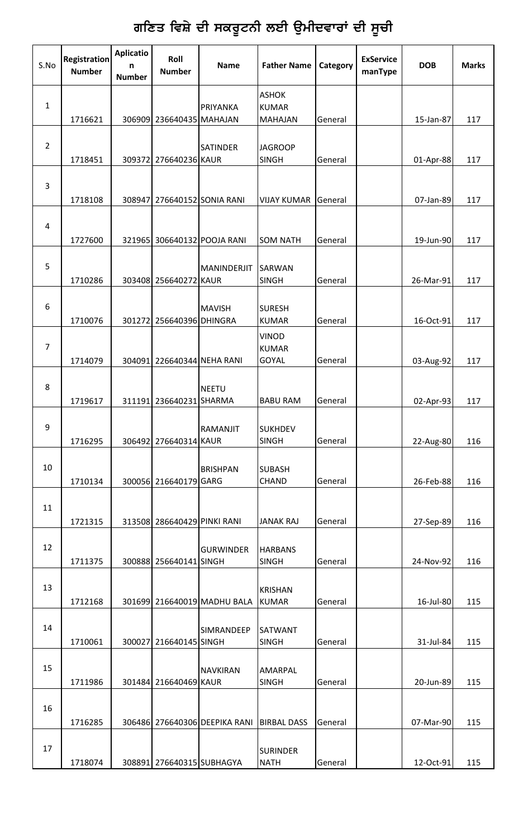## ਗਣਿਤ ਵਿਸ਼ੇ ਦੀ ਸਕਰੂਟਨੀ ਲਈ ਉਮੀਦਵਾਰਾਂ ਦੀ ਸੂਚ<mark>ੀ</mark>

| S.No           | <b>Registration</b><br><b>Number</b> | <b>Aplicatio</b><br>n<br><b>Number</b> | Roll<br><b>Number</b>       | <b>Name</b>                   | <b>Father Name</b>                           | Category | <b>ExService</b><br>manType | <b>DOB</b> | <b>Marks</b> |
|----------------|--------------------------------------|----------------------------------------|-----------------------------|-------------------------------|----------------------------------------------|----------|-----------------------------|------------|--------------|
| $\mathbf{1}$   | 1716621                              |                                        | 306909 236640435 MAHAJAN    | PRIYANKA                      | <b>ASHOK</b><br><b>KUMAR</b><br>MAHAJAN      | General  |                             | 15-Jan-87  | 117          |
| $\overline{2}$ | 1718451                              |                                        | 309372 276640236 KAUR       | <b>SATINDER</b>               | <b>JAGROOP</b><br><b>SINGH</b>               | General  |                             | 01-Apr-88  | 117          |
| 3              | 1718108                              |                                        |                             | 308947 276640152 SONIA RANI   | <b>VIJAY KUMAR</b>                           | General  |                             | 07-Jan-89  | 117          |
| $\overline{a}$ | 1727600                              |                                        |                             | 321965 306640132 POOJA RANI   | <b>SOM NATH</b>                              | General  |                             | 19-Jun-90  | 117          |
| 5              | 1710286                              |                                        | 303408 256640272 KAUR       | MANINDERJIT                   | <b>SARWAN</b><br><b>SINGH</b>                | General  |                             | 26-Mar-91  | 117          |
| 6              | 1710076                              |                                        | 301272 256640396 DHINGRA    | MAVISH                        | <b>SURESH</b><br><b>KUMAR</b>                | General  |                             | 16-Oct-91  | 117          |
| $\overline{7}$ | 1714079                              |                                        | 304091 226640344 NEHA RANI  |                               | <b>VINOD</b><br><b>KUMAR</b><br><b>GOYAL</b> | General  |                             | 03-Aug-92  | 117          |
| 8              | 1719617                              |                                        | 311191 236640231 SHARMA     | <b>NEETU</b>                  | <b>BABU RAM</b>                              | General  |                             | 02-Apr-93  | 117          |
| 9              | 1716295                              |                                        | 306492 276640314 KAUR       | RAMANJIT                      | <b>SUKHDEV</b><br><b>SINGH</b>               | General  |                             | 22-Aug-80  | 116          |
| 10             | 1710134                              |                                        | 300056 216640179 GARG       | <b>BRISHPAN</b>               | <b>SUBASH</b><br>CHAND                       | General  |                             | 26-Feb-88  | 116          |
| 11             | 1721315                              |                                        | 313508 286640429 PINKI RANI |                               | <b>JANAK RAJ</b>                             | General  |                             | 27-Sep-89  | 116          |
| 12             | 1711375                              |                                        | 300888 256640141 SINGH      | <b>GURWINDER</b>              | <b>HARBANS</b><br><b>SINGH</b>               | General  |                             | 24-Nov-92  | 116          |
| 13             | 1712168                              |                                        |                             | 301699 216640019 MADHU BALA   | <b>KRISHAN</b><br><b>KUMAR</b>               | General  |                             | 16-Jul-80  | 115          |
| 14             | 1710061                              |                                        | 300027 216640145 SINGH      | SIMRANDEEP                    | <b>SATWANT</b><br><b>SINGH</b>               | General  |                             | 31-Jul-84  | 115          |
| 15             | 1711986                              |                                        | 301484 216640469 KAUR       | <b>NAVKIRAN</b>               | AMARPAL<br><b>SINGH</b>                      | General  |                             | 20-Jun-89  | 115          |
| 16             | 1716285                              |                                        |                             | 306486 276640306 DEEPIKA RANI | <b>BIRBAL DASS</b>                           | General  |                             | 07-Mar-90  | 115          |
| 17             | 1718074                              |                                        | 308891 276640315 SUBHAGYA   |                               | <b>SURINDER</b><br><b>NATH</b>               | General  |                             | 12-Oct-91  | 115          |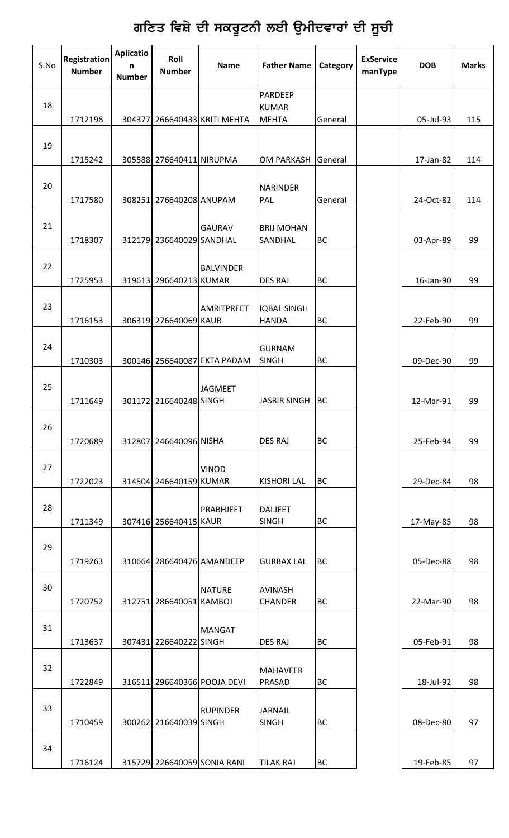## ਗਣਿਤ ਵਿਸ਼ੇ ਦੀ ਸਕਰੂਟਨੀ ਲਈ ਉਮੀਦਵਾਰਾਂ ਦੀ ਸੂਚ<mark>ੀ</mark>

| S.No | <b>Registration</b><br><b>Number</b> | <b>Aplicatio</b><br>n<br><b>Number</b> | Roll<br><b>Number</b>     | <b>Name</b>                  | <b>Father Name</b>                      | Category  | <b>ExService</b><br>manType | <b>DOB</b> | <b>Marks</b> |
|------|--------------------------------------|----------------------------------------|---------------------------|------------------------------|-----------------------------------------|-----------|-----------------------------|------------|--------------|
| 18   | 1712198                              |                                        |                           | 304377 266640433 KRITI MEHTA | PARDEEP<br><b>KUMAR</b><br><b>MEHTA</b> | General   |                             | 05-Jul-93  | 115          |
| 19   | 1715242                              |                                        | 305588 276640411 NIRUPMA  |                              | <b>OM PARKASH</b>                       | General   |                             | 17-Jan-82  | 114          |
| 20   | 1717580                              |                                        | 308251 276640208 ANUPAM   |                              | <b>NARINDER</b><br>PAL                  | General   |                             | 24-Oct-82  | 114          |
| 21   | 1718307                              |                                        | 312179 236640029 SANDHAL  | <b>GAURAV</b>                | <b>BRIJ MOHAN</b><br>SANDHAL            | <b>BC</b> |                             | 03-Apr-89  | 99           |
| 22   | 1725953                              |                                        | 319613 296640213 KUMAR    | <b>BALVINDER</b>             | <b>DES RAJ</b>                          | <b>BC</b> |                             | 16-Jan-90  | 99           |
| 23   | 1716153                              |                                        | 306319 276640069 KAUR     | <b>AMRITPREET</b>            | <b>IQBAL SINGH</b><br><b>HANDA</b>      | <b>BC</b> |                             | 22-Feb-90  | 99           |
| 24   | 1710303                              |                                        |                           | 300146 256640087 EKTA PADAM  | <b>GURNAM</b><br><b>SINGH</b>           | <b>BC</b> |                             | 09-Dec-90  | 99           |
| 25   | 1711649                              |                                        | 301172 216640248 SINGH    | <b>JAGMEET</b>               | <b>JASBIR SINGH</b>                     | <b>BC</b> |                             | 12-Mar-91  | 99           |
| 26   | 1720689                              |                                        | 312807 246640096 NISHA    |                              | <b>DES RAJ</b>                          | <b>BC</b> |                             | 25-Feb-94  | 99           |
| 27   | 1722023                              |                                        | 314504 246640159 KUMAR    | <b>VINOD</b>                 | <b>KISHORI LAL</b>                      | <b>BC</b> |                             | 29-Dec-84  | 98           |
| 28   | 1711349                              |                                        | 307416 256640415 KAUR     | PRABHJEET                    | <b>DALJEET</b><br><b>SINGH</b>          | BC        |                             | 17-May-85  | 98           |
| 29   | 1719263                              |                                        | 310664 286640476 AMANDEEP |                              | <b>GURBAX LAL</b>                       | <b>BC</b> |                             | 05-Dec-88  | 98           |
| 30   | 1720752                              |                                        | 312751 286640051 KAMBOJ   | <b>NATURE</b>                | <b>AVINASH</b><br><b>CHANDER</b>        | BC        |                             | 22-Mar-90  | 98           |
| 31   | 1713637                              |                                        | 307431 226640222 SINGH    | <b>MANGAT</b>                | <b>DES RAJ</b>                          | <b>BC</b> |                             | 05-Feb-91  | 98           |
| 32   | 1722849                              |                                        |                           | 316511 296640366 POOJA DEVI  | <b>MAHAVEER</b><br>PRASAD               | <b>BC</b> |                             | 18-Jul-92  | 98           |
| 33   | 1710459                              |                                        | 300262 216640039 SINGH    | <b>RUPINDER</b>              | <b>JARNAIL</b><br><b>SINGH</b>          | <b>BC</b> |                             | 08-Dec-80  | 97           |
| 34   | 1716124                              |                                        |                           | 315729 226640059 SONIA RANI  | <b>TILAK RAJ</b>                        | <b>BC</b> |                             | 19-Feb-85  | 97           |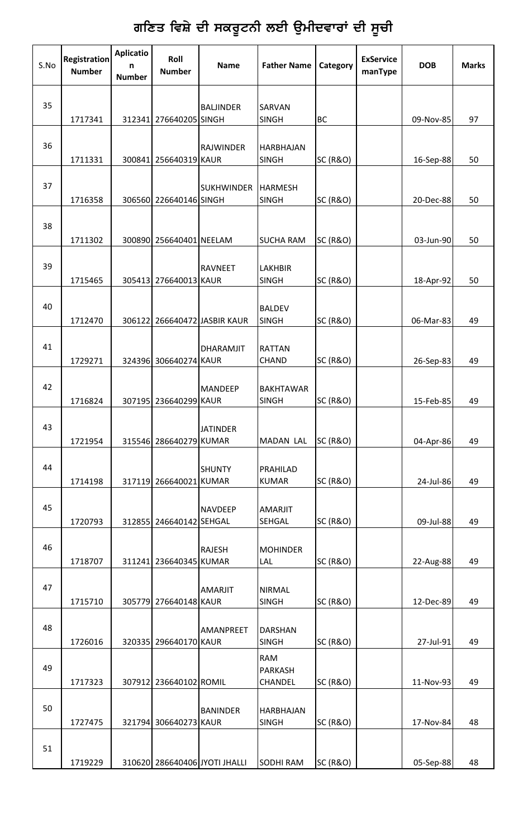# ਗਣਿਤ ਵਿਸ਼ੇ ਦੀ ਸਕਰੂਟਨੀ ਲਈ ਉਮੀਦਵਾਰਾਂ ਦੀ ਸੂਚੀ

| S.No | <b>Registration</b><br><b>Number</b> | <b>Aplicatio</b><br>n<br><b>Number</b> | Roll<br><b>Number</b>   | <b>Name</b>                   | <b>Father Name</b>               | Category            | <b>ExService</b><br>manType | <b>DOB</b> | <b>Marks</b> |
|------|--------------------------------------|----------------------------------------|-------------------------|-------------------------------|----------------------------------|---------------------|-----------------------------|------------|--------------|
| 35   | 1717341                              |                                        | 312341 276640205 SINGH  | <b>BALJINDER</b>              | SARVAN<br><b>SINGH</b>           | <b>BC</b>           |                             | 09-Nov-85  | 97           |
| 36   | 1711331                              |                                        | 300841 256640319 KAUR   | <b>RAJWINDER</b>              | <b>HARBHAJAN</b><br><b>SINGH</b> | <b>SC (R&amp;O)</b> |                             | 16-Sep-88  | 50           |
| 37   | 1716358                              |                                        | 306560 226640146 SINGH  | <b>SUKHWINDER</b>             | <b>HARMESH</b><br><b>SINGH</b>   | <b>SC (R&amp;O)</b> |                             | 20-Dec-88  | 50           |
| 38   | 1711302                              |                                        | 300890 256640401 NEELAM |                               | <b>SUCHA RAM</b>                 | <b>SC (R&amp;O)</b> |                             | 03-Jun-90  | 50           |
| 39   | 1715465                              |                                        | 305413 276640013 KAUR   | <b>RAVNEET</b>                | <b>LAKHBIR</b><br><b>SINGH</b>   | <b>SC (R&amp;O)</b> |                             | 18-Apr-92  | 50           |
| 40   | 1712470                              |                                        |                         | 306122 266640472 JASBIR KAUR  | <b>BALDEV</b><br><b>SINGH</b>    | <b>SC (R&amp;O)</b> |                             | 06-Mar-83  | 49           |
| 41   | 1729271                              |                                        | 324396 306640274 KAUR   | <b>DHARAMJIT</b>              | <b>RATTAN</b><br>CHAND           | <b>SC (R&amp;O)</b> |                             | 26-Sep-83  | 49           |
| 42   | 1716824                              |                                        | 307195 236640299 KAUR   | <b>MANDEEP</b>                | <b>BAKHTAWAR</b><br><b>SINGH</b> | <b>SC (R&amp;O)</b> |                             | 15-Feb-85  | 49           |
| 43   | 1721954                              |                                        | 315546 286640279 KUMAR  | <b>JATINDER</b>               | <b>MADAN LAL</b>                 | SC (R&O)            |                             | 04-Apr-86  | 49           |
| 44   | 1714198                              |                                        | 317119 266640021 KUMAR  | <b>SHUNTY</b>                 | PRAHILAD<br><b>KUMAR</b>         | SC (R&O)            |                             | 24-Jul-86  | 49           |
| 45   | 1720793                              |                                        | 312855 246640142 SEHGAL | <b>NAVDEEP</b>                | <b>AMARJIT</b><br><b>SEHGAL</b>  | SC (R&O)            |                             | 09-Jul-88  | 49           |
| 46   | 1718707                              |                                        | 311241 236640345 KUMAR  | <b>RAJESH</b>                 | <b>MOHINDER</b><br>LAL           | SC (R&O)            |                             | 22-Aug-88  | 49           |
| 47   | 1715710                              |                                        | 305779 276640148 KAUR   | <b>AMARJIT</b>                | <b>NIRMAL</b><br><b>SINGH</b>    | <b>SC (R&amp;O)</b> |                             | 12-Dec-89  | 49           |
| 48   | 1726016                              |                                        | 320335 296640170 KAUR   | <b>AMANPREET</b>              | <b>DARSHAN</b><br><b>SINGH</b>   | <b>SC (R&amp;O)</b> |                             | 27-Jul-91  | 49           |
| 49   | 1717323                              |                                        | 307912 236640102 ROMIL  |                               | <b>RAM</b><br>PARKASH<br>CHANDEL | <b>SC (R&amp;O)</b> |                             | 11-Nov-93  | 49           |
| 50   | 1727475                              |                                        | 321794 306640273 KAUR   | <b>BANINDER</b>               | <b>HARBHAJAN</b><br><b>SINGH</b> | <b>SC (R&amp;O)</b> |                             | 17-Nov-84  | 48           |
| 51   | 1719229                              |                                        |                         | 310620 286640406 JYOTI JHALLI | <b>SODHI RAM</b>                 | SC (R&O)            |                             | 05-Sep-88  | 48           |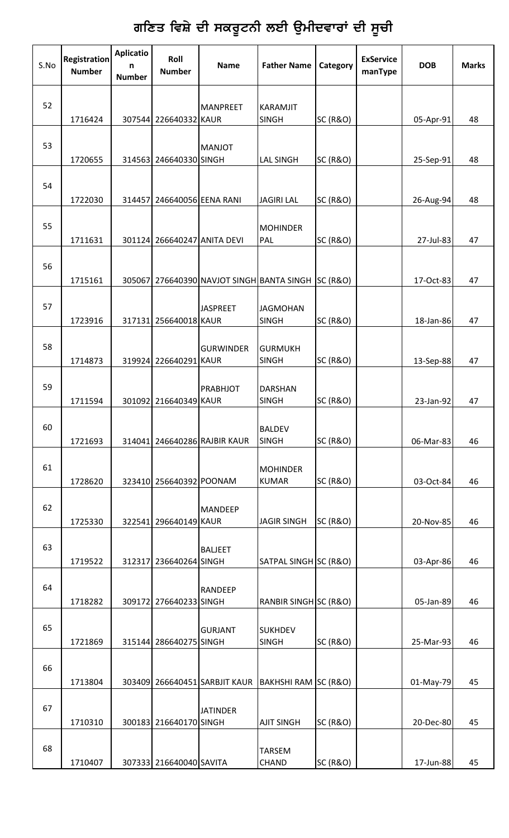## ਗਣਿਤ ਵਿਸ਼ੇ ਦੀ ਸਕਰੂਟਨੀ ਲਈ ਉਮੀਦਵਾਰਾਂ ਦੀ ਸੂਚ<mark>ੀ</mark>

| S.No | <b>Registration</b><br><b>Number</b> | <b>Aplicatio</b><br>n<br><b>Number</b> | Roll<br><b>Number</b>       | <b>Name</b>                                        | <b>Father Name</b>              | Category            | <b>ExService</b><br>manType | <b>DOB</b> | <b>Marks</b> |
|------|--------------------------------------|----------------------------------------|-----------------------------|----------------------------------------------------|---------------------------------|---------------------|-----------------------------|------------|--------------|
| 52   | 1716424                              |                                        | 307544 226640332 KAUR       | MANPREET                                           | KARAMJIT<br><b>SINGH</b>        | <b>SC (R&amp;O)</b> |                             | 05-Apr-91  | 48           |
| 53   | 1720655                              |                                        | 314563 246640330 SINGH      | <b>MANJOT</b>                                      | <b>LAL SINGH</b>                | <b>SC (R&amp;O)</b> |                             | 25-Sep-91  | 48           |
| 54   | 1722030                              | 314457                                 | 246640056 EENA RANI         |                                                    | <b>JAGIRI LAL</b>               | SC (R&O)            |                             | 26-Aug-94  | 48           |
| 55   | 1711631                              |                                        | 301124 266640247 ANITA DEVI |                                                    | <b>MOHINDER</b><br>PAL          | <b>SC (R&amp;O)</b> |                             | 27-Jul-83  | 47           |
| 56   | 1715161                              |                                        |                             | 305067 276640390 NAVJOT SINGH BANTA SINGH SC (R&O) |                                 |                     |                             | 17-Oct-83  | 47           |
| 57   | 1723916                              |                                        | 317131 256640018 KAUR       | <b>JASPREET</b>                                    | <b>JAGMOHAN</b><br><b>SINGH</b> | <b>SC (R&amp;O)</b> |                             | 18-Jan-86  | 47           |
| 58   | 1714873                              |                                        | 319924 226640291 KAUR       | <b>GURWINDER</b>                                   | <b>GURMUKH</b><br><b>SINGH</b>  | <b>SC (R&amp;O)</b> |                             | 13-Sep-88  | 47           |
| 59   | 1711594                              |                                        | 301092 216640349 KAUR       | PRABHJOT                                           | <b>DARSHAN</b><br><b>SINGH</b>  | <b>SC (R&amp;O)</b> |                             | 23-Jan-92  | 47           |
| 60   | 1721693                              |                                        |                             | 314041 246640286 RAJBIR KAUR                       | <b>BALDEV</b><br><b>SINGH</b>   | <b>SC (R&amp;O)</b> |                             | 06-Mar-83  | 46           |
| 61   | 1728620                              |                                        | 323410 256640392 POONAM     |                                                    | <b>MOHINDER</b><br><b>KUMAR</b> | <b>SC (R&amp;O)</b> |                             | 03-Oct-84  | 46           |
| 62   | 1725330                              |                                        | 322541 296640149 KAUR       | <b>MANDEEP</b>                                     | <b>JAGIR SINGH</b>              | SC (R&O)            |                             | 20-Nov-85  | 46           |
| 63   | 1719522                              |                                        | 312317 236640264 SINGH      | <b>BALJEET</b>                                     | SATPAL SINGH SC (R&O)           |                     |                             | 03-Apr-86  | 46           |
| 64   | 1718282                              |                                        | 309172 276640233 SINGH      | <b>RANDEEP</b>                                     | RANBIR SINGH SC (R&O)           |                     |                             | 05-Jan-89  | 46           |
| 65   | 1721869                              |                                        | 315144 286640275 SINGH      | <b>GURJANT</b>                                     | <b>SUKHDEV</b><br><b>SINGH</b>  | SC (R&O)            |                             | 25-Mar-93  | 46           |
| 66   | 1713804                              |                                        |                             | 303409 266640451 SARBJIT KAUR                      | BAKHSHI RAM SC (R&O)            |                     |                             | 01-May-79  | 45           |
| 67   | 1710310                              |                                        | 300183 216640170 SINGH      | <b>JATINDER</b>                                    | <b>AJIT SINGH</b>               | <b>SC (R&amp;O)</b> |                             | 20-Dec-80  | 45           |
| 68   | 1710407                              |                                        | 307333 216640040 SAVITA     |                                                    | <b>TARSEM</b><br><b>CHAND</b>   | <b>SC (R&amp;O)</b> |                             | 17-Jun-88  | 45           |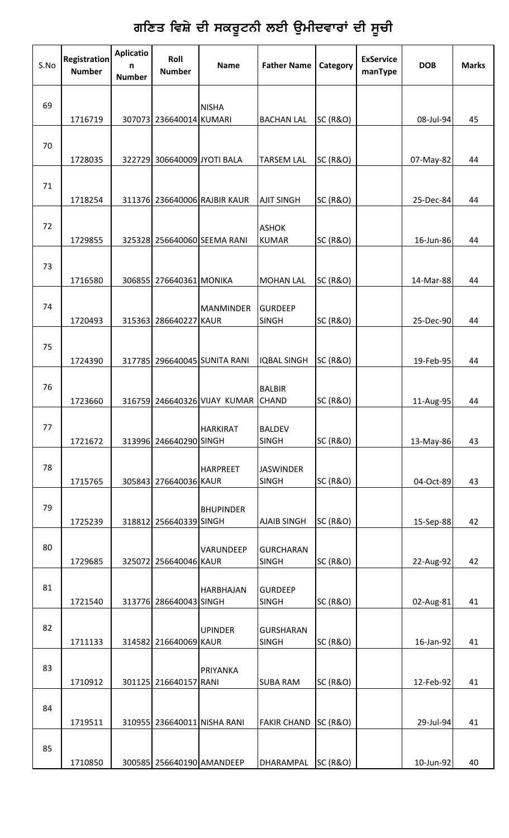# ਗਣਿਤ ਵਿਸ਼ੇ ਦੀ ਸਕਰੂਟਨੀ ਲਈ ਉਮੀਦਵਾਰਾਂ ਦੀ ਸੂਚੀ

| S.No | <b>Registration</b><br><b>Number</b> | <b>Aplicatio</b><br>n<br><b>Number</b> | Roll<br><b>Number</b>       | <b>Name</b>                  | <b>Father Name</b>               | Category            | <b>ExService</b><br>manType | <b>DOB</b> | <b>Marks</b> |
|------|--------------------------------------|----------------------------------------|-----------------------------|------------------------------|----------------------------------|---------------------|-----------------------------|------------|--------------|
| 69   | 1716719                              |                                        | 307073 236640014 KUMARI     | <b>NISHA</b>                 | <b>BACHAN LAL</b>                | SC (R&O)            |                             | 08-Jul-94  | 45           |
| 70   | 1728035                              |                                        | 322729 306640009 JYOTI BALA |                              | <b>TARSEM LAL</b>                | SC (R&O)            |                             | 07-May-82  | 44           |
| 71   | 1718254                              |                                        |                             | 311376 236640006 RAJBIR KAUR | <b>AJIT SINGH</b>                | <b>SC (R&amp;O)</b> |                             | 25-Dec-84  | 44           |
| 72   | 1729855                              |                                        |                             | 325328 256640060 SEEMA RANI  | <b>ASHOK</b><br><b>KUMAR</b>     | <b>SC (R&amp;O)</b> |                             | 16-Jun-86  | 44           |
| 73   | 1716580                              |                                        | 306855 276640361 MONIKA     |                              | <b>MOHAN LAL</b>                 | <b>SC (R&amp;O)</b> |                             | 14-Mar-88  | 44           |
| 74   | 1720493                              |                                        | 315363 286640227 KAUR       | <b>MANMINDER</b>             | <b>GURDEEP</b><br><b>SINGH</b>   | <b>SC (R&amp;O)</b> |                             | 25-Dec-90  | 44           |
| 75   | 1724390                              |                                        |                             | 317785 296640045 SUNITA RANI | <b>IQBAL SINGH</b>               | <b>SC (R&amp;O)</b> |                             | 19-Feb-95  | 44           |
| 76   | 1723660                              |                                        |                             | 316759 246640326 VIJAY KUMAR | <b>BALBIR</b><br><b>CHAND</b>    | <b>SC (R&amp;O)</b> |                             | 11-Aug-95  | 44           |
| 77   | 1721672                              |                                        | 313996 246640290 SINGH      | <b>HARKIRAT</b>              | <b>BALDEV</b><br><b>SINGH</b>    | <b>SC (R&amp;O)</b> |                             | 13-May-86  | 43           |
| 78   | 1715765                              |                                        | 305843 276640036 KAUR       | <b>HARPREET</b>              | <b>JASWINDER</b><br><b>SINGH</b> | <b>SC (R&amp;O)</b> |                             | 04-Oct-89  | 43           |
| 79   | 1725239                              |                                        | 318812 256640339 SINGH      | <b>BHUPINDER</b>             | <b>AJAIB SINGH</b>               | <b>SC (R&amp;O)</b> |                             | 15-Sep-88  | 42           |
| 80   | 1729685                              |                                        | 325072 256640046 KAUR       | VARUNDEEP                    | <b>GURCHARAN</b><br><b>SINGH</b> | SC (R&O)            |                             | 22-Aug-92  | 42           |
| 81   | 1721540                              |                                        | 313776 286640043 SINGH      | <b>HARBHAJAN</b>             | <b>GURDEEP</b><br><b>SINGH</b>   | <b>SC (R&amp;O)</b> |                             | 02-Aug-81  | 41           |
| 82   | 1711133                              |                                        | 314582 216640069 KAUR       | <b>UPINDER</b>               | <b>GURSHARAN</b><br><b>SINGH</b> | <b>SC (R&amp;O)</b> |                             | 16-Jan-92  | 41           |
| 83   | 1710912                              |                                        | 301125 216640157 RANI       | PRIYANKA                     | <b>SUBA RAM</b>                  | <b>SC (R&amp;O)</b> |                             | 12-Feb-92  | 41           |
| 84   | 1719511                              |                                        |                             | 310955 236640011 NISHA RANI  | <b>FAKIR CHAND</b>               | <b>SC (R&amp;O)</b> |                             | 29-Jul-94  | 41           |
| 85   | 1710850                              |                                        | 300585 256640190 AMANDEEP   |                              | DHARAMPAL                        | <b>SC (R&amp;O)</b> |                             | 10-Jun-92  | 40           |